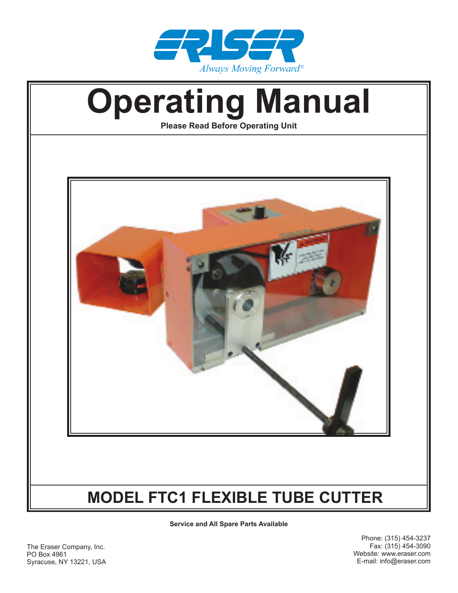



**Service and All Spare Parts Available**

The Eraser Company, Inc. PO Box 4961 Syracuse, NY 13221, USA

Phone: (315) 454-3237 Fax: (315) 454-3090 Website: www.eraser.com E-mail: info@eraser.com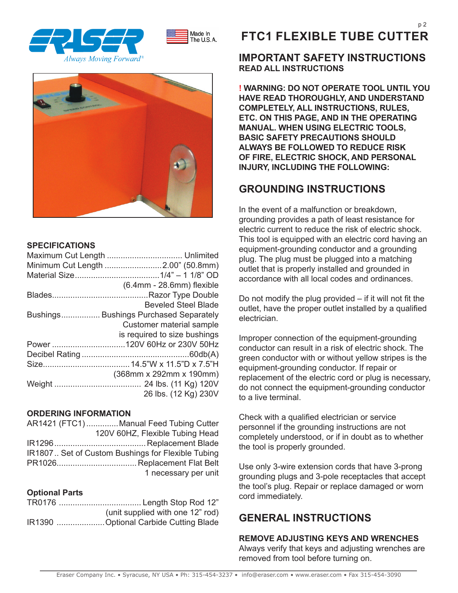





#### **SPECIFICATIONS**

| Minimum Cut Length 2.00" (50.8mm)      |
|----------------------------------------|
|                                        |
| $(6.4$ mm - 28.6mm) flexible           |
|                                        |
| <b>Beveled Steel Blade</b>             |
| Bushings Bushings Purchased Separately |
| <b>Customer material sample</b>        |
| is required to size bushings           |
|                                        |
|                                        |
|                                        |
| (368mm x 292mm x 190mm)                |
|                                        |
| 26 lbs. (12 Kg) 230V                   |

#### **ORDERING INFORMATION**

| AR1421 (FTC1)  Manual Feed Tubing Cutter          |
|---------------------------------------------------|
| 120V 60HZ, Flexible Tubing Head                   |
|                                                   |
| IR1807 Set of Custom Bushings for Flexible Tubing |
|                                                   |
| 1 necessary per unit                              |

## **Optional Parts**

| (unit supplied with one 12" rod)      |
|---------------------------------------|
| IR1390 Optional Carbide Cutting Blade |

## **FTC1 FLEXIBLE TUBE CUTTER**

## **IMPORTANT SAFETY INSTRUCTIONS READ ALL INSTRUCTIONS**

**! WARNING: DO NOT OPERATE TOOL UNTIL YOU HAVE READ THOROUGHLY, AND UNDERSTAND COMPLETELY, ALL INSTRUCTIONS, RULES, ETC. ON THIS PAGE, AND IN THE OPERATING MANUAL. WHEN USING ELECTRIC TOOLS, BASIC SAFETY PRECAUTIONS SHOULD ALWAYS BE FOLLOWED TO REDUCE RISK OF FIRE, ELECTRIC SHOCK, AND PERSONAL INJURY, INCLUDING THE FOLLOWING:**

## **GROUNDING INSTRUCTIONS**

In the event of a malfunction or breakdown, grounding provides a path of least resistance for electric current to reduce the risk of electric shock. This tool is equipped with an electric cord having an equipment-grounding conductor and a grounding plug. The plug must be plugged into a matching outlet that is properly installed and grounded in accordance with all local codes and ordinances.

Do not modify the plug provided  $-$  if it will not fit the outlet, have the proper outlet installed by a qualified electrician.

Improper connection of the equipment-grounding conductor can result in a risk of electric shock. The green conductor with or without yellow stripes is the equipment-grounding conductor. If repair or replacement of the electric cord or plug is necessary, do not connect the equipment-grounding conductor to a live terminal.

Check with a qualified electrician or service personnel if the grounding instructions are not completely understood, or if in doubt as to whether the tool is properly grounded.

Use only 3-wire extension cords that have 3-prong grounding plugs and 3-pole receptacles that accept the tool's plug. Repair or replace damaged or worn cord immediately.

## **GENERAL INSTRUCTIONS**

**REMOVE ADJUSTING KEYS AND WRENCHES**  Always verify that keys and adjusting wrenches are removed from tool before turning on.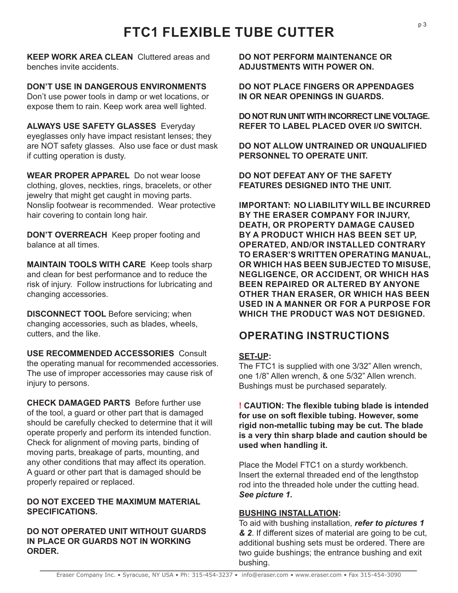**KEEP WORK AREA CLEAN** Cluttered areas and benches invite accidents.

**DON'T USE IN DANGEROUS ENVIRONMENTS**  Don't use power tools in damp or wet locations, or expose them to rain. Keep work area well lighted.

**ALWAYS USE SAFETY GLASSES** Everyday eyeglasses only have impact resistant lenses; they are NOT safety glasses. Also use face or dust mask if cutting operation is dusty.

**WEAR PROPER APPAREL** Do not wear loose clothing, gloves, neckties, rings, bracelets, or other jewelry that might get caught in moving parts. Nonslip footwear is recommended. Wear protective hair covering to contain long hair.

**DON'T OVERREACH** Keep proper footing and balance at all times.

**MAINTAIN TOOLS WITH CARE** Keep tools sharp and clean for best performance and to reduce the risk of injury. Follow instructions for lubricating and changing accessories.

**DISCONNECT TOOL** Before servicing; when changing accessories, such as blades, wheels, cutters, and the like.

**USE RECOMMENDED ACCESSORIES** Consult the operating manual for recommended accessories. The use of improper accessories may cause risk of injury to persons.

**CHECK DAMAGED PARTS** Before further use of the tool, a guard or other part that is damaged should be carefully checked to determine that it will operate properly and perform its intended function. Check for alignment of moving parts, binding of moving parts, breakage of parts, mounting, and any other conditions that may affect its operation. A guard or other part that is damaged should be properly repaired or replaced.

## **DO NOT EXCEED THE MAXIMUM MATERIAL SPECIFICATIONS.**

## **DO NOT OPERATED UNIT WITHOUT GUARDS IN PLACE OR GUARDS NOT IN WORKING ORDER.**

**DO NOT PERFORM MAINTENANCE OR ADJUSTMENTS WITH POWER ON.**

**DO NOT PLACE FINGERS OR APPENDAGES IN OR NEAR OPENINGS IN GUARDS.**

**DO NOT RUN UNIT WITH INCORRECT LINE VOLTAGE. REFER TO LABEL PLACED OVER I/O SWITCH.**

**DO NOT ALLOW UNTRAINED OR UNQUALIFIED PERSONNEL TO OPERATE UNIT.**

**DO NOT DEFEAT ANY OF THE SAFETY FEATURES DESIGNED INTO THE UNIT.**

**IMPORTANT: NO LIABILITY WILL BE INCURRED BY THE ERASER COMPANY FOR INJURY, DEATH, OR PROPERTY DAMAGE CAUSED BY A PRODUCT WHICH HAS BEEN SET UP, OPERATED, AND/OR INSTALLED CONTRARY TO ERASER'S WRITTEN OPERATING MANUAL, OR WHICH HAS BEEN SUBJECTED TO MISUSE, NEGLIGENCE, OR ACCIDENT, OR WHICH HAS BEEN REPAIRED OR ALTERED BY ANYONE OTHER THAN ERASER, OR WHICH HAS BEEN USED IN A MANNER OR FOR A PURPOSE FOR WHICH THE PRODUCT WAS NOT DESIGNED.** 

## **OPERATING INSTRUCTIONS**

## **SET-UP:**

The FTC1 is supplied with one 3/32" Allen wrench, one 1/8" Allen wrench, & one 5/32" Allen wrench. Bushings must be purchased separately.

**! CAUTION: The flexible tubing blade is intended for use on soft flexible tubing. However, some rigid non-metallic tubing may be cut. The blade is a very thin sharp blade and caution should be used when handling it.** 

Place the Model FTC1 on a sturdy workbench. Insert the external threaded end of the lengthstop rod into the threaded hole under the cutting head. *See picture 1.* 

## **BUSHING INSTALLATION:**

To aid with bushing installation, *refer to pictures 1 & 2*. If different sizes of material are going to be cut, additional bushing sets must be ordered. There are two guide bushings; the entrance bushing and exit bushing.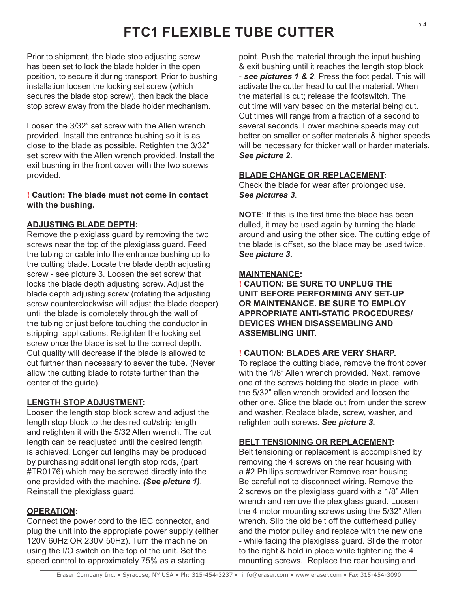Prior to shipment, the blade stop adjusting screw has been set to lock the blade holder in the open position, to secure it during transport. Prior to bushing installation loosen the locking set screw (which secures the blade stop screw), then back the blade stop screw away from the blade holder mechanism.

Loosen the 3/32" set screw with the Allen wrench provided. Install the entrance bushing so it is as close to the blade as possible. Retighten the 3/32" set screw with the Allen wrench provided. Install the exit bushing in the front cover with the two screws provided.

## **! Caution: The blade must not come in contact with the bushing.**

## **ADJUSTING BLADE DEPTH:**

Remove the plexiglass guard by removing the two screws near the top of the plexiglass guard. Feed the tubing or cable into the entrance bushing up to the cutting blade. Locate the blade depth adjusting screw - see picture 3. Loosen the set screw that locks the blade depth adjusting screw. Adjust the blade depth adjusting screw (rotating the adjusting screw counterclockwise will adjust the blade deeper) until the blade is completely through the wall of the tubing or just before touching the conductor in stripping applications. Retighten the locking set screw once the blade is set to the correct depth. Cut quality will decrease if the blade is allowed to cut further than necessary to sever the tube. (Never allow the cutting blade to rotate further than the center of the guide).

## **LENGTH STOP ADJUSTMENT:**

Loosen the length stop block screw and adjust the length stop block to the desired cut/strip length and retighten it with the 5/32 Allen wrench. The cut length can be readjusted until the desired length is achieved. Longer cut lengths may be produced by purchasing additional length stop rods, (part #TR0176) which may be screwed directly into the one provided with the machine. *(See picture 1)*. Reinstall the plexiglass guard.

## **OPERATION:**

Connect the power cord to the IEC connector, and plug the unit into the appropiate power supply (either 120V 60Hz OR 230V 50Hz). Turn the machine on using the I/O switch on the top of the unit. Set the speed control to approximately 75% as a starting

point. Push the material through the input bushing & exit bushing until it reaches the length stop block - *see pictures 1 & 2*. Press the foot pedal. This will activate the cutter head to cut the material. When the material is cut; release the footswitch. The cut time will vary based on the material being cut. Cut times will range from a fraction of a second to several seconds. Lower machine speeds may cut better on smaller or softer materials & higher speeds will be necessary for thicker wall or harder materials. *See picture 2*.

## **BLADE CHANGE OR REPLACEMENT:**

Check the blade for wear after prolonged use. *See pictures 3*.

**NOTE**: If this is the first time the blade has been dulled, it may be used again by turning the blade around and using the other side. The cutting edge of the blade is offset, so the blade may be used twice. *See picture 3.*

## **MAINTENANCE:**

**! CAUTION: BE SURE TO UNPLUG THE UNIT BEFORE PERFORMING ANY SET-UP OR MAINTENANCE. BE SURE TO EMPLOY APPROPRIATE ANTI-STATIC PROCEDURES/ DEVICES WHEN DISASSEMBLING AND ASSEMBLING UNIT.**

## **! CAUTION: BLADES ARE VERY SHARP.**

To replace the cutting blade, remove the front cover with the 1/8" Allen wrench provided. Next, remove one of the screws holding the blade in place with the 5/32" allen wrench provided and loosen the other one. Slide the blade out from under the screw and washer. Replace blade, screw, washer, and retighten both screws. *See picture 3.* 

## **BELT TENSIONING OR REPLACEMENT:**

Belt tensioning or replacement is accomplished by removing the 4 screws on the rear housing with a #2 Phillips screwdriver.Remove rear housing. Be careful not to disconnect wiring. Remove the 2 screws on the plexiglass guard with a 1/8" Allen wrench and remove the plexiglass guard. Loosen the 4 motor mounting screws using the 5/32" Allen wrench. Slip the old belt off the cutterhead pulley and the motor pulley and replace with the new one - while facing the plexiglass guard. Slide the motor to the right & hold in place while tightening the 4 mounting screws. Replace the rear housing and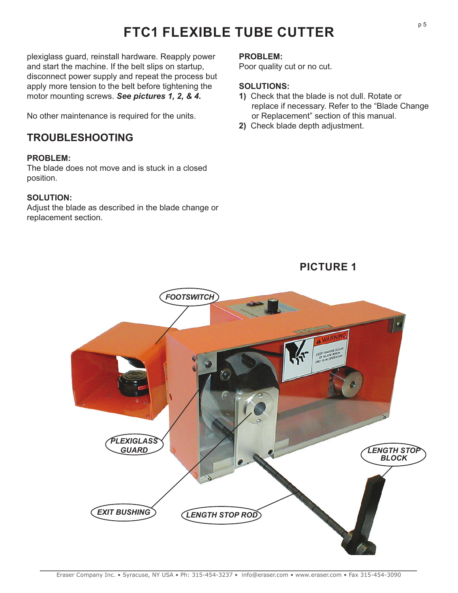plexiglass guard, reinstall hardware. Reapply power and start the machine. If the belt slips on startup, disconnect power supply and repeat the process but apply more tension to the belt before tightening the motor mounting screws. *See pictures 1, 2, & 4.* 

No other maintenance is required for the units.

## **TROUBLESHOOTING**

## **PROBLEM:**

The blade does not move and is stuck in a closed position.

## **SOLUTION:**

Adjust the blade as described in the blade change or replacement section.

#### **PROBLEM:**

Poor quality cut or no cut.

## **SOLUTIONS:**

**1)** Check that the blade is not dull. Rotate or replace if necessary. Refer to the "Blade Change or Replacement" section of this manual.

**PICTURE 1**

**2)** Check blade depth adjustment.